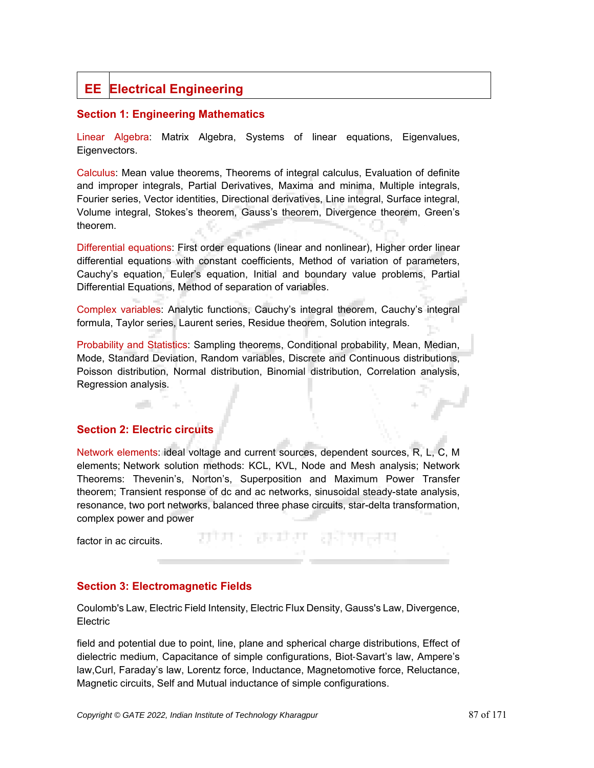# **EE Electrical Engineering**

# **Section 1: Engineering Mathematics**

Linear Algebra: Matrix Algebra, Systems of linear equations, Eigenvalues, Eigenvectors.

Calculus: Mean value theorems, Theorems of integral calculus, Evaluation of definite and improper integrals, Partial Derivatives, Maxima and minima, Multiple integrals, Fourier series, Vector identities, Directional derivatives, Line integral, Surface integral, Volume integral, Stokes's theorem, Gauss's theorem, Divergence theorem, Green's theorem.

Differential equations: First order equations (linear and nonlinear), Higher order linear differential equations with constant coefficients, Method of variation of parameters, Cauchy's equation, Euler's equation, Initial and boundary value problems, Partial Differential Equations, Method of separation of variables.

Complex variables: Analytic functions, Cauchy's integral theorem, Cauchy's integral formula, Taylor series, Laurent series, Residue theorem, Solution integrals.

Probability and Statistics: Sampling theorems, Conditional probability, Mean, Median, Mode, Standard Deviation, Random variables, Discrete and Continuous distributions, Poisson distribution, Normal distribution, Binomial distribution, Correlation analysis, Regression analysis.

# **Section 2: Electric circuits**

a di

Network elements: ideal voltage and current sources, dependent sources, R, L, C, M elements; Network solution methods: KCL, KVL, Node and Mesh analysis; Network Theorems: Thevenin's, Norton's, Superposition and Maximum Power Transfer theorem; Transient response of dc and ac networks, sinusoidal steady-state analysis, resonance, two port networks, balanced three phase circuits, star-delta transformation, complex power and power

राण: रचग कोपाल

factor in ac circuits.

# **Section 3: Electromagnetic Fields**

Coulomb's Law, Electric Field Intensity, Electric Flux Density, Gauss's Law, Divergence, **Electric** 

field and potential due to point, line, plane and spherical charge distributions, Effect of dielectric medium, Capacitance of simple configurations, Biot-Savart's law, Ampere's law,Curl, Faraday's law, Lorentz force, Inductance, Magnetomotive force, Reluctance, Magnetic circuits, Self and Mutual inductance of simple configurations.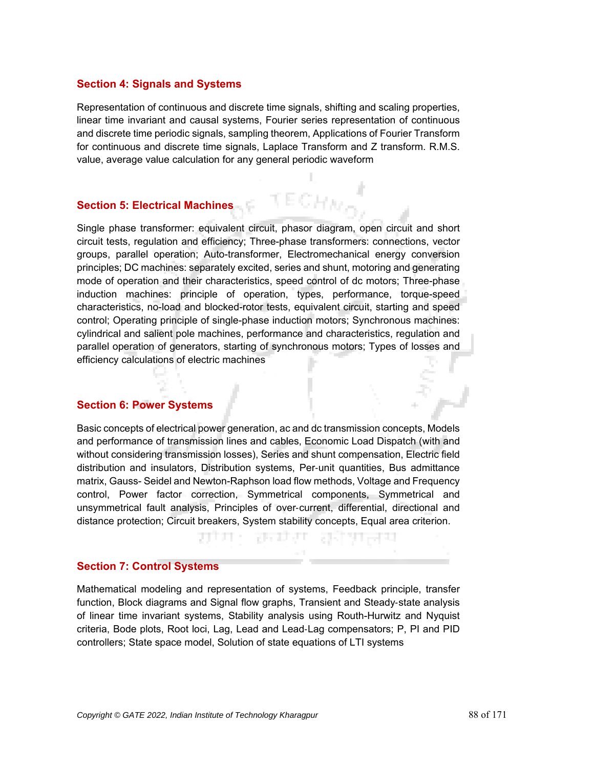#### **Section 4: Signals and Systems**

Representation of continuous and discrete time signals, shifting and scaling properties, linear time invariant and causal systems, Fourier series representation of continuous and discrete time periodic signals, sampling theorem, Applications of Fourier Transform for continuous and discrete time signals, Laplace Transform and Z transform. R.M.S. value, average value calculation for any general periodic waveform

# **Section 5: Electrical Machines**

Single phase transformer: equivalent circuit, phasor diagram, open circuit and short circuit tests, regulation and efficiency; Three-phase transformers: connections, vector groups, parallel operation; Auto-transformer, Electromechanical energy conversion principles; DC machines: separately excited, series and shunt, motoring and generating mode of operation and their characteristics, speed control of dc motors; Three-phase induction machines: principle of operation, types, performance, torque-speed characteristics, no-load and blocked-rotor tests, equivalent circuit, starting and speed control; Operating principle of single-phase induction motors; Synchronous machines: cylindrical and salient pole machines, performance and characteristics, regulation and parallel operation of generators, starting of synchronous motors; Types of losses and efficiency calculations of electric machines

#### **Section 6: Power Systems**

Basic concepts of electrical power generation, ac and dc transmission concepts, Models and performance of transmission lines and cables, Economic Load Dispatch (with and without considering transmission losses), Series and shunt compensation, Electric field distribution and insulators, Distribution systems, Per-unit quantities, Bus admittance matrix, Gauss- Seidel and Newton-Raphson load flow methods, Voltage and Frequency control, Power factor correction, Symmetrical components, Symmetrical and unsymmetrical fault analysis, Principles of over-current, differential, directional and distance protection; Circuit breakers, System stability concepts, Equal area criterion.

ਸਾ ਰਜਾ

# **Section 7: Control Systems**

Mathematical modeling and representation of systems, Feedback principle, transfer function, Block diagrams and Signal flow graphs, Transient and Steady-state analysis of linear time invariant systems, Stability analysis using Routh-Hurwitz and Nyquist criteria, Bode plots, Root loci, Lag, Lead and Lead-Lag compensators; P, PI and PID controllers; State space model, Solution of state equations of LTI systems